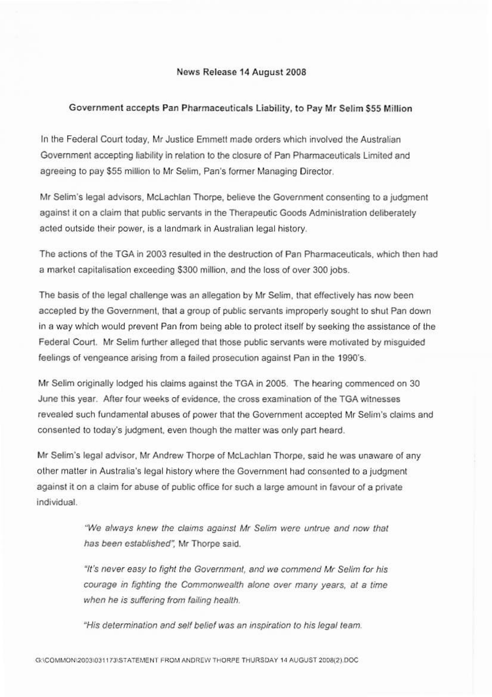## News Release 14 August 2008

## Government accepts Pan Pharmaceuticals Liability, to Pay Mr Selim \$55 Million

In the Federal Court today, Mr Justice Emmett made orders which involved the Australian Government accepting liability in relation to the closure of Pan Pharmaceuticals Limited and agreeing to pay \$55 million to Mr Selim, Pan's former Managing Director.

Mr Selim's legal advisors, McLachlan Thorpe, believe the Government consenting to a judgment against it on a claim that public servants in the Therapeutic Goods Administration deliberately acted outside their power, is a landmark in Australian legal history.

The actions of the TGA in 2003 resulted in the destruction of Pan Pharmaceuticals, which then had a market capitalisation exceeding \$300 million, and the loss of over 300 jobs.

The basis of the legal challenge was an allegation by Mr Selim, that effectively has now been accepted by the Government, that a group of public servants improperly sought to shut Pan down in a way which would prevent Pan from being able to protect itself by seeking the assistance of the Federal Court. Mr Selim further alleged that those public servants were motivated by misquided feelings of vengeance arising from a failed prosecution against Pan in the 1990's.

Mr Selim originally lodged his claims against the TGA in 2005. The hearing commenced on 30 June this year. After four weeks of evidence, the cross examination of the TGA witnesses revealed such fundamental abuses of power that the Government accepted Mr Selim's claims and consented to today's judgment, even though the matter was only part heard.

Mr Selim's legal advisor, Mr Andrew Thorpe of McLachlan Thorpe, said he was unaware of any other matter in Australia's legal history where the Government had consented to a judgment against it on a claim for abuse of public office for such a large amount in favour of a private individual.

> "We always knew the claims against Mr Selim were untrue and now that has been established". Mr Thorpe said.

> "It's never easy to fight the Government, and we commend Mr Selim for his courage in fighting the Commonwealth alone over many years, at a time when he is suffering from failing health.

"His determination and self belief was an inspiration to his legal team.